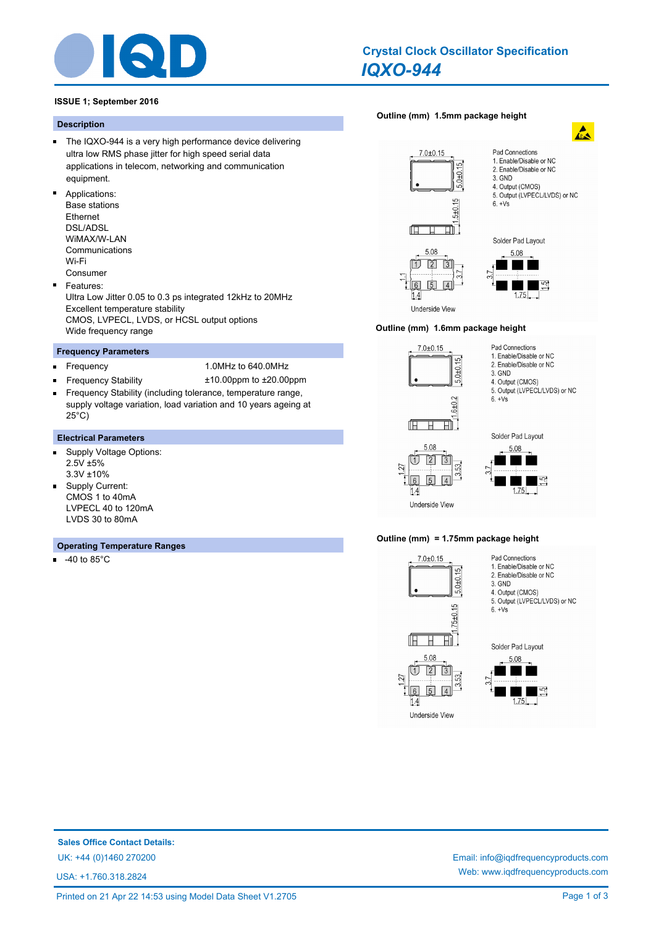

# *IQXO-944* **Crystal Clock Oscillator Specification**

**[Outline \(mm\) 1.5mm package height](http://www.iqdfrequencyproducts.com/products/search/?type=crystal-clock-oscillator&model=IQXO-944)**

## **ISSUE 1; September 2016**

## **Description**

- The IQXO-944 is a very high performance device delivering ultra low RMS phase jitter for high speed serial data applications in telecom, networking and communication equipment.
- Applications:
	- Base stations Ethernet DSL/ADSL WiMAX/W-LAN Communications Wi-Fi
- Consumer  $\blacksquare$ Features: Ultra Low Jitter 0.05 to 0.3 ps integrated 12kHz to 20MHz Excellent temperature stability CMOS, LVPECL, LVDS, or HCSL output options Wide frequency range

## **Frequency Parameters**

- $\blacksquare$
- Frequency 1.0MHz to 640.0MHz
- Frequency Stability ±10.00ppm to ±20.00ppm Frequency Stability (including tolerance, temperature range, supply voltage variation, load variation and 10 years ageing at 25°C)

#### **Electrical Parameters**

- Supply Voltage Options: ń 2.5V ±5% 3.3V ±10%
- Supply Current:  $\blacksquare$ CMOS 1 to 40mA LVPECL 40 to 120mA LVDS 30 to 80mA

## **Operating Temperature Ranges**

 $\blacksquare$ -40 to 85°C





 $\mathbf{A}$ 

#### **Outline (mm) 1.6mm package height**

ſП

 $\overline{11}$ 

 $1.4$ Underside View





Pad Connections

3. GND 4. Output (CMOS) 5. Output (LVPECL/LVDS) or NC

 $6. +Vs$ 

1. Enable/Disable or NC

2. Enable/Disable or NC



27





## **Outline (mm) = 1.75mm package height**



**Sales Office Contact Details:**

USA: +1.760.318.2824

UK: +44 (0)1460 270200 Email: info@iqdfrequencyproducts.com Web: www.iqdfrequencyproducts.com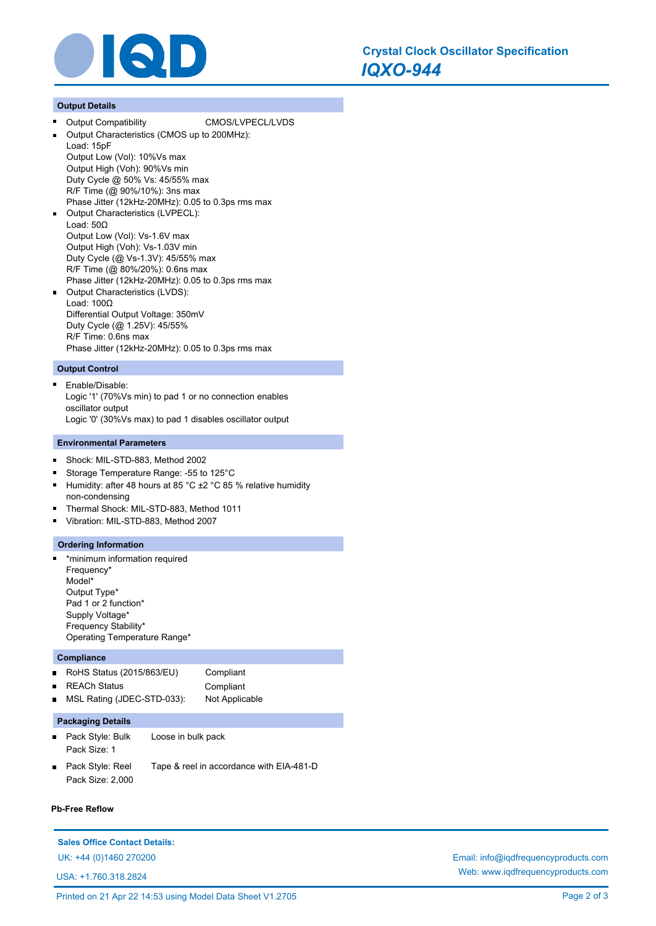

## **Output Details**

Output Compatibility CMOS/LVPECL/LVDS Output Characteristics (CMOS up to 200MHz): Load: 15pF Output Low (Vol): 10%Vs max Output High (Voh): 90%Vs min Duty Cycle @ 50% Vs: 45/55% max R/F Time (@ 90%/10%): 3ns max Phase Jitter (12kHz-20MHz): 0.05 to 0.3ps rms max Output Characteristics (LVPECL): Load: 50Ω Output Low (Vol): Vs-1.6V max Output High (Voh): Vs-1.03V min Duty Cycle (@ Vs-1.3V): 45/55% max R/F Time (@ 80%/20%): 0.6ns max Phase Jitter (12kHz-20MHz): 0.05 to 0.3ps rms max Output Characteristics (LVDS): Load: 100Ω Differential Output Voltage: 350mV Duty Cycle (@ 1.25V): 45/55% R/F Time: 0.6ns max Phase Jitter (12kHz-20MHz): 0.05 to 0.3ps rms max

## **Output Control**

 $\blacksquare$ Enable/Disable: Logic '1' (70%Vs min) to pad 1 or no connection enables oscillator output Logic '0' (30%Vs max) to pad 1 disables oscillator output

#### **Environmental Parameters**

- Shock: MIL-STD-883, Method 2002  $\blacksquare$
- Storage Temperature Range: -55 to 125°C
- Humidity: after 48 hours at 85 °C ±2 °C 85 % relative humidity  $\blacksquare$ non-condensing
- Thermal Shock: MIL-STD-883, Method 1011
- Vibration: MIL-STD-883, Method 2007

#### **Ordering Information**

\*minimum information required n Frequency\* Model\* Output Type\* Pad 1 or 2 function\* Supply Voltage\* Frequency Stability\* Operating Temperature Range\*

#### **Compliance**

| RoHS Status $(2015/863/EU)$  | Compliant      |
|------------------------------|----------------|
| ■ REACh Status               | Compliant      |
| ■ MSL Rating (JDEC-STD-033): | Not Applicable |
|                              |                |

## **Packaging Details**

- Pack Style: Bulk Loose in bulk pack Pack Size: 1
- Pack Style: Reel Tape & reel in accordance with EIA-481-D Pack Size: 2,000

#### **Pb-Free Reflow**

## **Sales Office Contact Details:**

USA: +1.760.318.2824

UK: +44 (0)1460 270200 Email: info@iqdfrequencyproducts.com Web: www.iqdfrequencyproducts.com